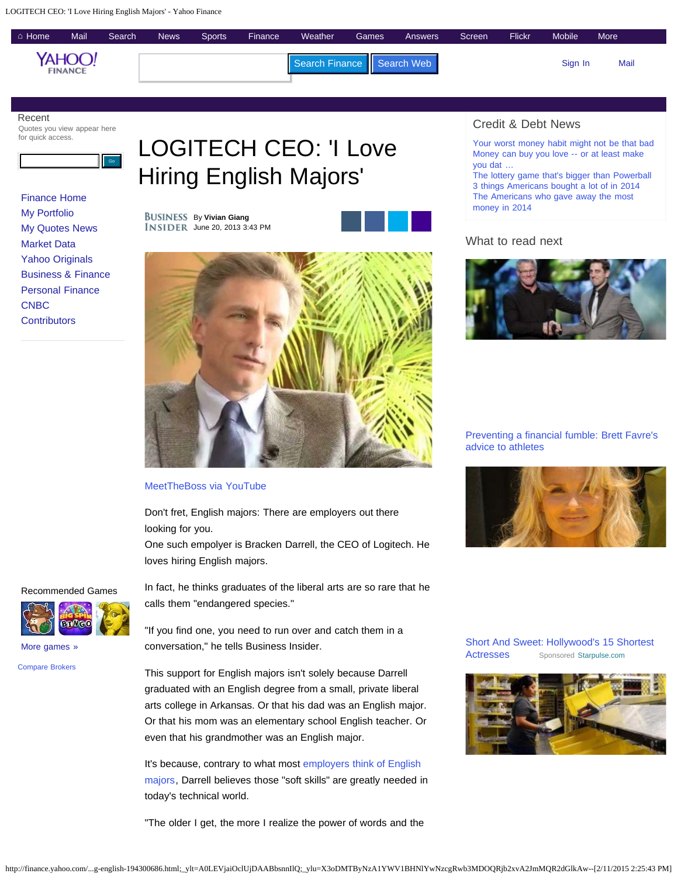

## Recent

Quotes you view appear here for quick access.



[Finance Home](http://finance.yahoo.com/) [My Portfolio](http://finance.yahoo.com/portfolios.html) [My Quotes News](http://finance.yahoo.com/my-quotes-news/) [Market Data](http://finance.yahoo.com/market-overview/) [Yahoo Originals](http://finance.yahoo.com/yahoofinance/) [Business & Finance](http://finance.yahoo.com/news/) [Personal Finance](http://finance.yahoo.com/personal-finance/) **[CNBC](http://finance.yahoo.com/cnbc/) [Contributors](http://finance.yahoo.com/contributors/)** 

# Hiring English Majors'

By **Vivian Giang** INSIDER June 20, 2013 3:43 PM





#### [MeetTheBoss via YouTube](http://www.youtube.com/watch?v=iIbrGMpcfoo)

Don't fret, English majors: There are employers out there looking for you.

One such empolyer is Bracken Darrell, the CEO of Logitech. He loves hiring English majors.

## Recommended Games



[More games »](https://games.yahoo.com/?_s_icmp=finance&adid=gsappngfinancemoregames&adcamp=gsappng&adop=org&adprop=finance&adpos=moregames)

[Compare Brokers](http://finance.yahoo.com/broker-comparison)

In fact, he thinks graduates of the liberal arts are so rare that he calls them "endangered species."

"If you find one, you need to run over and catch them in a conversation," he tells Business Insider.

This support for English majors isn't solely because Darrell graduated with an English degree from a small, private liberal arts college in Arkansas. Or that his dad was an English major. Or that his mom was an elementary school English teacher. Or even that his grandmother was an English major.

It's because, contrary to what most [employers think of English](http://www.businessinsider.com/successful-people-with-English-majors-2013-5) [majors,](http://www.businessinsider.com/successful-people-with-English-majors-2013-5) Darrell believes those "soft skills" are greatly needed in today's technical world.

"The older I get, the more I realize the power of words and the

# Credit & Debt News

[Your worst money habit might not be that bad](http://finance.yahoo.com/news/your-worst-money-habit-might-not-be-that-bad-202648866.html) [Money can buy you love -- or at least make](http://finance.yahoo.com/news/money-buy-love-least-datable-130600746.html) [you dat](http://finance.yahoo.com/news/money-buy-love-least-datable-130600746.html) …

[The lottery game that's bigger than Powerball](http://finance.yahoo.com/news/lottery-game-thats-bigger-powerball-203500916.html) [3 things Americans bought a lot of in 2014](http://finance.yahoo.com/news/3-things-americans-bought-lot-212800207.html) [The Americans who gave away the most](http://finance.yahoo.com/news/americans-gave-away-most-money-150000583.html) [money in 2014](http://finance.yahoo.com/news/americans-gave-away-most-money-150000583.html)

# What to read next



[Preventing a financial fumble: Brett Favre's](http://finance.yahoo.com/news/financial-stability-still-a-problem-for-many-of-your-favorite-sports-stars-134808730.html) [advice to athletes](http://finance.yahoo.com/news/financial-stability-still-a-problem-for-many-of-your-favorite-sports-stars-134808730.html)



[Short And Sweet: Hollywood's 15 Shortest](https://beap.gemini.yahoo.com/mbclk?bv=1.0.0&es=rb2lIv8GIS.xufVbysGPxWnQAVoGysr69GMM3DfqrjhzTl6MK_7HKgqDSyrYgBsgesmHlV9L8zsjgBTJwR10pdD4cWbnzEz7ka6ev_TkWY8W8mX_R0ui3dchT2LxDACvHHeeMDOfP4YtvBC.pCPM8WgjY3qkM5wy6Q9IYNSSlXlpMLBgVVJMeInCZz7usUH1YedeCJEBq_h1ibCvAUJuLTvVT_x8yXPjmY1GrqL_lMvZob7K_SEQAx5IkwhSGVH7JGPKlIogq4EW4ZnA7jnvAu_1EMvGkruO8EytqlC6WGcx9I0rC7hmztNG0cTp7HWvtqxDnC5RmvwANxmaWWNWUtRDIIQ5lj2rzOeq7Zu0YQxLEfJFpKcRqsJL3U78Vlk7l9IPs2cxXBUcVb6Ne.SAVbfk2gqfUywo8VswpRFM2j7mcQEVTflRUGHJTEQyXudWfglEulj.rI6wfVaCddvomaWtMb_qZJ7J43lvm6twSt1FO7c2PLK5n05z_FbulVvLB2W3V.9HECoKSM1iP7GTq4Yc.2ycGLWnh4HOl.OzWY06XZtxBshh8eW3NoMGeBsV.i1TYxVos.rrBIrR5iocbnLFkmP10CXwsNjPsI16LCHL%26lp=) [Actresses](https://beap.gemini.yahoo.com/mbclk?bv=1.0.0&es=rb2lIv8GIS.xufVbysGPxWnQAVoGysr69GMM3DfqrjhzTl6MK_7HKgqDSyrYgBsgesmHlV9L8zsjgBTJwR10pdD4cWbnzEz7ka6ev_TkWY8W8mX_R0ui3dchT2LxDACvHHeeMDOfP4YtvBC.pCPM8WgjY3qkM5wy6Q9IYNSSlXlpMLBgVVJMeInCZz7usUH1YedeCJEBq_h1ibCvAUJuLTvVT_x8yXPjmY1GrqL_lMvZob7K_SEQAx5IkwhSGVH7JGPKlIogq4EW4ZnA7jnvAu_1EMvGkruO8EytqlC6WGcx9I0rC7hmztNG0cTp7HWvtqxDnC5RmvwANxmaWWNWUtRDIIQ5lj2rzOeq7Zu0YQxLEfJFpKcRqsJL3U78Vlk7l9IPs2cxXBUcVb6Ne.SAVbfk2gqfUywo8VswpRFM2j7mcQEVTflRUGHJTEQyXudWfglEulj.rI6wfVaCddvomaWtMb_qZJ7J43lvm6twSt1FO7c2PLK5n05z_FbulVvLB2W3V.9HECoKSM1iP7GTq4Yc.2ycGLWnh4HOl.OzWY06XZtxBshh8eW3NoMGeBsV.i1TYxVos.rrBIrR5iocbnLFkmP10CXwsNjPsI16LCHL%26lp=) [Sponsored](https://help.yahoo.com/kb/SLN22774.html?impressions=true) [Starpulse.com](https://beap.gemini.yahoo.com/mbclk?bv=1.0.0&es=rb2lIv8GIS.xufVbysGPxWnQAVoGysr69GMM3DfqrjhzTl6MK_7HKgqDSyrYgBsgesmHlV9L8zsjgBTJwR10pdD4cWbnzEz7ka6ev_TkWY8W8mX_R0ui3dchT2LxDACvHHeeMDOfP4YtvBC.pCPM8WgjY3qkM5wy6Q9IYNSSlXlpMLBgVVJMeInCZz7usUH1YedeCJEBq_h1ibCvAUJuLTvVT_x8yXPjmY1GrqL_lMvZob7K_SEQAx5IkwhSGVH7JGPKlIogq4EW4ZnA7jnvAu_1EMvGkruO8EytqlC6WGcx9I0rC7hmztNG0cTp7HWvtqxDnC5RmvwANxmaWWNWUtRDIIQ5lj2rzOeq7Zu0YQxLEfJFpKcRqsJL3U78Vlk7l9IPs2cxXBUcVb6Ne.SAVbfk2gqfUywo8VswpRFM2j7mcQEVTflRUGHJTEQyXudWfglEulj.rI6wfVaCddvomaWtMb_qZJ7J43lvm6twSt1FO7c2PLK5n05z_FbulVvLB2W3V.9HECoKSM1iP7GTq4Yc.2ycGLWnh4HOl.OzWY06XZtxBshh8eW3NoMGeBsV.i1TYxVos.rrBIrR5iocbnLFkmP10CXwsNjPsI16LCHL%26lp=)

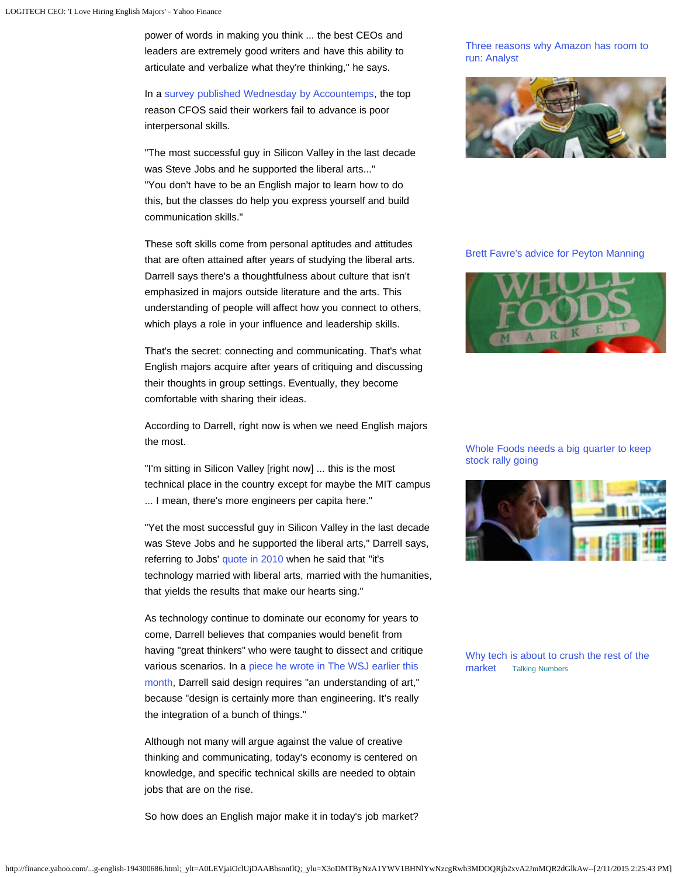power of words in making you think ... the best CEOs and leaders are extremely good writers and have this ability to articulate and verbalize what they're thinking," he says.

In a [survey published Wednesday by](http://accountemps.rhi.mediaroom.com/2013-06-19-Survey-Few-CFOs-Plan-to-Invest-in-Interpersonal-Skills-Development-for-Their-Teams) [Accountemps,](http://accountemps.rhi.mediaroom.com/2013-06-19-Survey-Few-CFOs-Plan-to-Invest-in-Interpersonal-Skills-Development-for-Their-Teams) the top reason CFOS said their workers fail to advance is poor interpersonal skills.

"The most successful guy in Silicon Valley in the last decade was Steve Jobs and he supported the liberal arts..." "You don't have to be an English major to learn how to do this, but the classes do help you express yourself and build communication skills."

These soft skills come from personal aptitudes and attitudes that are often attained after years of studying the liberal arts. Darrell says there's a thoughtfulness about culture that isn't emphasized in majors outside literature and the arts. This understanding of people will affect how you connect to others, which plays a role in your influence and leadership skills.

That's the secret: connecting and communicating. That's what English majors acquire after years of critiquing and discussing their thoughts in group settings. Eventually, they become comfortable with sharing their ideas.

According to Darrell, right now is when we need English majors the most.

"I'm sitting in Silicon Valley [right now] ... this is the most technical place in the country except for maybe the MIT campus ... I mean, there's more engineers per capita here."

"Yet the most successful guy in Silicon Valley in the last decade was Steve Jobs and he supported the liberal arts," Darrell says, referring to Jobs' [quote in 2010](http://online.wsj.com/article/SB10001424053111904875404576532342684923826.html%20) when he said that "it's technology married with liberal arts, married with the humanities, that yields the results that make our hearts sing."

As technology continue to dominate our economy for years to come, Darrell believes that companies would benefit from having "great thinkers" who were taught to dissect and critique various scenarios. In a [piece he wrote in The WSJ earlier this](http://blogs.wsj.com/atwork/2013/06/06/youre-really-differentiated-if-you-understand-humanities/?KEYWORDS=bracken+darrell) [month](http://blogs.wsj.com/atwork/2013/06/06/youre-really-differentiated-if-you-understand-humanities/?KEYWORDS=bracken+darrell), Darrell said design requires "an understanding of art," because "design is certainly more than engineering. It's really the integration of a bunch of things."

Although not many will argue against the value of creative thinking and communicating, today's economy is centered on knowledge, and specific technical skills are needed to obtain jobs that are on the rise.

So how does an English major make it in today's job market?

### [Three reasons why Amazon has room to](http://finance.yahoo.com/news/three-reasons-why-amazon-room-173606890.html) [run: Analyst](http://finance.yahoo.com/news/three-reasons-why-amazon-room-173606890.html)



#### [Brett Favre's advice for Peyton Manning](http://finance.yahoo.com/news/brett-favre-s-advice-for-peyton-manning-203419281.html)



## [Whole Foods needs a big quarter to keep](http://finance.yahoo.com/news/whole-foods-needs-a-big-quarter-to-keep-stock-rally-going-221305885.html) [stock rally going](http://finance.yahoo.com/news/whole-foods-needs-a-big-quarter-to-keep-stock-rally-going-221305885.html)



[Why tech is about to crush the rest of the](http://finance.yahoo.com/blogs/talking-numbers/why-tech-is-about-to-crush-the-rest-of-the-market-221750510.html) [market](http://finance.yahoo.com/blogs/talking-numbers/why-tech-is-about-to-crush-the-rest-of-the-market-221750510.html) [Talking Numbers](http://finance.yahoo.com/blogs/talking-numbers/why-tech-is-about-to-crush-the-rest-of-the-market-221750510.html)